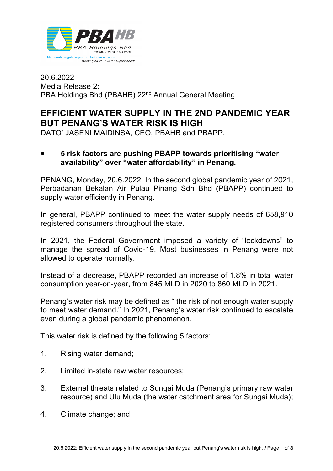

20.6.2022 Media Release 2: PBA Holdings Bhd (PBAHB) 22<sup>nd</sup> Annual General Meeting

## **EFFICIENT WATER SUPPLY IN THE 2ND PANDEMIC YEAR BUT PENANG'S WATER RISK IS HIGH**

DATO' JASENI MAIDINSA, CEO, PBAHB and PBAPP.

• **5 risk factors are pushing PBAPP towards prioritising "water availability" over "water affordability" in Penang.**

PENANG, Monday, 20.6.2022: In the second global pandemic year of 2021, Perbadanan Bekalan Air Pulau Pinang Sdn Bhd (PBAPP) continued to supply water efficiently in Penang.

In general, PBAPP continued to meet the water supply needs of 658,910 registered consumers throughout the state.

In 2021, the Federal Government imposed a variety of "lockdowns" to manage the spread of Covid-19. Most businesses in Penang were not allowed to operate normally.

Instead of a decrease, PBAPP recorded an increase of 1.8% in total water consumption year-on-year, from 845 MLD in 2020 to 860 MLD in 2021.

Penang's water risk may be defined as " the risk of not enough water supply to meet water demand." In 2021, Penang's water risk continued to escalate even during a global pandemic phenomenon.

This water risk is defined by the following 5 factors:

- 1. Rising water demand;
- 2. Limited in-state raw water resources;
- 3. External threats related to Sungai Muda (Penang's primary raw water resource) and Ulu Muda (the water catchment area for Sungai Muda);
- 4. Climate change; and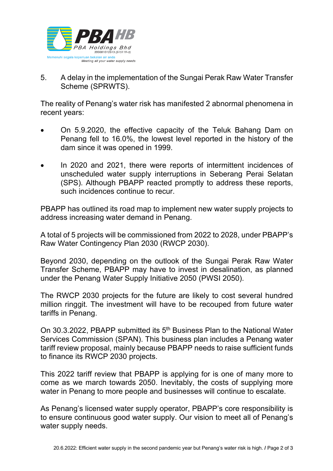

5. A delay in the implementation of the Sungai Perak Raw Water Transfer Scheme (SPRWTS).

The reality of Penang's water risk has manifested 2 abnormal phenomena in recent years:

- On 5.9.2020, the effective capacity of the Teluk Bahang Dam on Penang fell to 16.0%, the lowest level reported in the history of the dam since it was opened in 1999.
- In 2020 and 2021, there were reports of intermittent incidences of unscheduled water supply interruptions in Seberang Perai Selatan (SPS). Although PBAPP reacted promptly to address these reports, such incidences continue to recur.

PBAPP has outlined its road map to implement new water supply projects to address increasing water demand in Penang.

A total of 5 projects will be commissioned from 2022 to 2028, under PBAPP's Raw Water Contingency Plan 2030 (RWCP 2030).

Beyond 2030, depending on the outlook of the Sungai Perak Raw Water Transfer Scheme, PBAPP may have to invest in desalination, as planned under the Penang Water Supply Initiative 2050 (PWSI 2050).

The RWCP 2030 projects for the future are likely to cost several hundred million ringgit. The investment will have to be recouped from future water tariffs in Penang.

On 30.3.2022, PBAPP submitted its 5<sup>th</sup> Business Plan to the National Water Services Commission (SPAN). This business plan includes a Penang water tariff review proposal, mainly because PBAPP needs to raise sufficient funds to finance its RWCP 2030 projects.

This 2022 tariff review that PBAPP is applying for is one of many more to come as we march towards 2050. Inevitably, the costs of supplying more water in Penang to more people and businesses will continue to escalate.

As Penang's licensed water supply operator, PBAPP's core responsibility is to ensure continuous good water supply. Our vision to meet all of Penang's water supply needs.